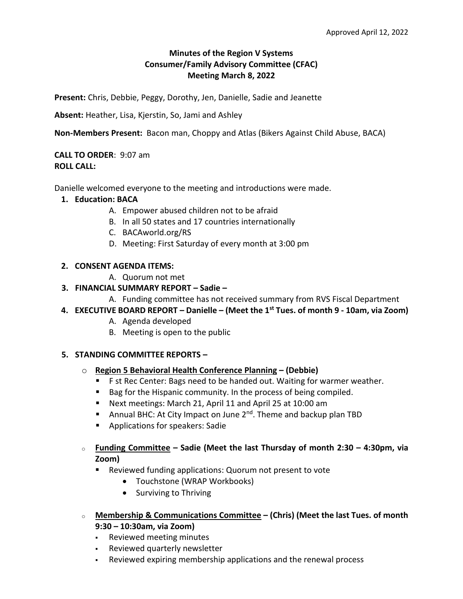## **Minutes of the Region V Systems Consumer/Family Advisory Committee (CFAC) Meeting March 8, 2022**

**Present:** Chris, Debbie, Peggy, Dorothy, Jen, Danielle, Sadie and Jeanette

**Absent:** Heather, Lisa, Kjerstin, So, Jami and Ashley

**Non-Members Present:** Bacon man, Choppy and Atlas (Bikers Against Child Abuse, BACA)

**CALL TO ORDER**: 9:07 am **ROLL CALL:**

Danielle welcomed everyone to the meeting and introductions were made.

- **1. Education: BACA**
	- A. Empower abused children not to be afraid
	- B. In all 50 states and 17 countries internationally
	- C. BACAworld.org/RS
	- D. Meeting: First Saturday of every month at 3:00 pm

#### **2. CONSENT AGENDA ITEMS:**

A. Quorum not met

# **3. FINANCIAL SUMMARY REPORT – Sadie –**

- A. Funding committee has not received summary from RVS Fiscal Department
- **4. EXECUTIVE BOARD REPORT – Danielle – (Meet the 1st Tues. of month 9 - 10am, via Zoom)**
	- A. Agenda developed
	- B. Meeting is open to the public

#### **5. STANDING COMMITTEE REPORTS –**

- o **Region 5 Behavioral Health Conference Planning – (Debbie)**
	- F st Rec Center: Bags need to be handed out. Waiting for warmer weather.
	- Bag for the Hispanic community. In the process of being compiled.
	- Next meetings: March 21, April 11 and April 25 at 10:00 am
	- **E** Annual BHC: At City Impact on June  $2^{nd}$ . Theme and backup plan TBD
	- Applications for speakers: Sadie
- <sup>o</sup> **Funding Committee – Sadie (Meet the last Thursday of month 2:30 – 4:30pm, via Zoom)**
	- Reviewed funding applications: Quorum not present to vote
		- Touchstone (WRAP Workbooks)
		- Surviving to Thriving
- <sup>o</sup> **Membership & Communications Committee – (Chris) (Meet the last Tues. of month 9:30 – 10:30am, via Zoom)**
	- Reviewed meeting minutes
	- Reviewed quarterly newsletter
	- Reviewed expiring membership applications and the renewal process